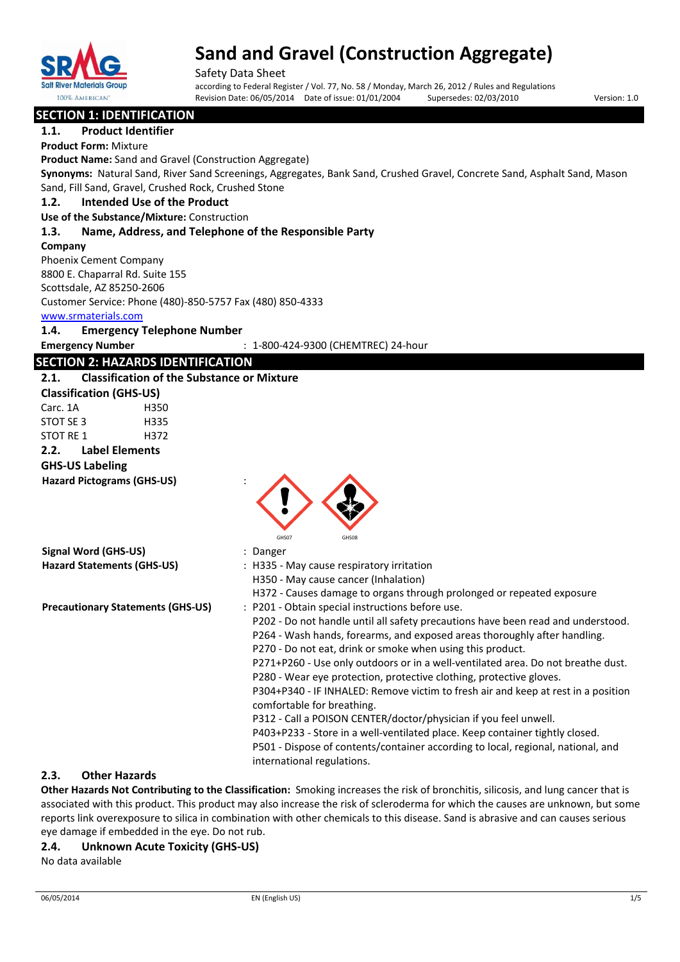

Safety Data Sheet according to Federal Register / Vol. 77, No. 58 / Monday, March 26, 2012 / Rules and Regulations Revision Date: 06/05/2014 Date of issue: 01/01/2004 Supersedes: 02/03/2010 Version: 1.0

# **SECTION 1: IDENTIFICATION 1.1. Product Identifier Product Form:** Mixture **Product Name:** Sand and Gravel (Construction Aggregate) **Synonyms:** Natural Sand, River Sand Screenings, Aggregates, Bank Sand, Crushed Gravel, Concrete Sand, Asphalt Sand, Mason Sand, Fill Sand, Gravel, Crushed Rock, Crushed Stone **1.2. Intended Use of the Product Use of the Substance/Mixture:** Construction **1.3. Name, Address, and Telephone of the Responsible Party Company**  Phoenix Cement Company 8800 E. Chaparral Rd. Suite 155 Scottsdale, AZ 85250-2606 Customer Service: Phone (480)-850-5757 Fax (480) 850-4333 [www.srmaterials.com](http://www.srmaterials.com/) **1.4. Emergency Telephone Number Emergency Number** : 1-800-424-9300 (CHEMTREC) 24-hour **SECTION 2: HAZARDS IDENTIFICATION 2.1. Classification of the Substance or Mixture Classification (GHS-US)** Carc. 1A H350 STOT SE 3 H335 STOT RE 1 H372 **2.2. Label Elements GHS-US Labeling Hazard Pictograms (GHS-US)** : GHS07 GHS08 **Signal Word (GHS-US)** : Danger **Hazard Statements (GHS-US)** : H335 - May cause respiratory irritation H350 - May cause cancer (Inhalation) H372 - Causes damage to organs through prolonged or repeated exposure **Precautionary Statements (GHS-US)** : P201 - Obtain special instructions before use. P202 - Do not handle until all safety precautions have been read and understood. P264 - Wash hands, forearms, and exposed areas thoroughly after handling. P270 - Do not eat, drink or smoke when using this product. P271+P260 - Use only outdoors or in a well-ventilated area. Do not breathe dust. P280 - Wear eye protection, protective clothing, protective gloves. P304+P340 - IF INHALED: Remove victim to fresh air and keep at rest in a position comfortable for breathing. P312 - Call a POISON CENTER/doctor/physician if you feel unwell. P403+P233 - Store in a well-ventilated place. Keep container tightly closed. P501 - Dispose of contents/container according to local, regional, national, and international regulations.

#### **2.3. Other Hazards**

**Other Hazards Not Contributing to the Classification:** Smoking increases the risk of bronchitis, silicosis, and lung cancer that is associated with this product. This product may also increase the risk of scleroderma for which the causes are unknown, but some reports link overexposure to silica in combination with other chemicals to this disease. Sand is abrasive and can causes serious eye damage if embedded in the eye. Do not rub.

#### **2.4. Unknown Acute Toxicity (GHS-US)**

No data available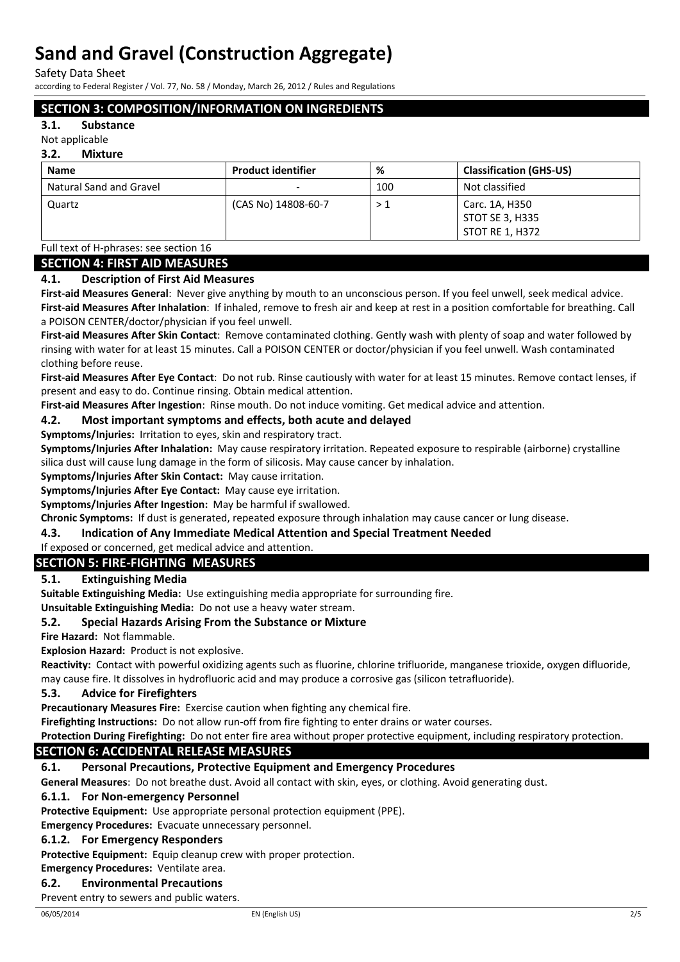Safety Data Sheet

according to Federal Register / Vol. 77, No. 58 / Monday, March 26, 2012 / Rules and Regulations

# **SECTION 3: COMPOSITION/INFORMATION ON INGREDIENTS**

# **3.1. Substance**

# Not applicable

### **3.2. Mixture**

| <b>Name</b>                    | <b>Product identifier</b> | %   | <b>Classification (GHS-US)</b>           |
|--------------------------------|---------------------------|-----|------------------------------------------|
| <b>Natural Sand and Gravel</b> |                           | 100 | Not classified                           |
| Quartz                         | (CAS No) 14808-60-7       | >1  | Carc. 1A, H350<br><b>STOT SE 3, H335</b> |
|                                |                           |     | <b>STOT RE 1, H372</b>                   |

#### Full text of H-phrases: see section 16

# **SECTION 4: FIRST AID MEASURES**

#### **4.1. Description of First Aid Measures**

**First-aid Measures General**: Never give anything by mouth to an unconscious person. If you feel unwell, seek medical advice. **First-aid Measures After Inhalation**: If inhaled, remove to fresh air and keep at rest in a position comfortable for breathing. Call a POISON CENTER/doctor/physician if you feel unwell.

**First-aid Measures After Skin Contact**: Remove contaminated clothing. Gently wash with plenty of soap and water followed by rinsing with water for at least 15 minutes. Call a POISON CENTER or doctor/physician if you feel unwell. Wash contaminated clothing before reuse.

**First-aid Measures After Eye Contact**: Do not rub. Rinse cautiously with water for at least 15 minutes. Remove contact lenses, if present and easy to do. Continue rinsing. Obtain medical attention.

**First-aid Measures After Ingestion**: Rinse mouth. Do not induce vomiting. Get medical advice and attention.

## **4.2. Most important symptoms and effects, both acute and delayed**

#### **Symptoms/Injuries:** Irritation to eyes, skin and respiratory tract.

**Symptoms/Injuries After Inhalation:** May cause respiratory irritation. Repeated exposure to respirable (airborne) crystalline silica dust will cause lung damage in the form of silicosis. May cause cancer by inhalation.

**Symptoms/Injuries After Skin Contact:** May cause irritation.

**Symptoms/Injuries After Eye Contact:** May cause eye irritation.

**Symptoms/Injuries After Ingestion:** May be harmful if swallowed.

**Chronic Symptoms:** If dust is generated, repeated exposure through inhalation may cause cancer or lung disease.

## **4.3. Indication of Any Immediate Medical Attention and Special Treatment Needed**

If exposed or concerned, get medical advice and attention.

# **SECTION 5: FIRE-FIGHTING MEASURES**

## **5.1. Extinguishing Media**

**Suitable Extinguishing Media:** Use extinguishing media appropriate for surrounding fire.

**Unsuitable Extinguishing Media:** Do not use a heavy water stream.

## **5.2. Special Hazards Arising From the Substance or Mixture**

**Fire Hazard:** Not flammable.

**Explosion Hazard:** Product is not explosive.

**Reactivity:** Contact with powerful oxidizing agents such as fluorine, chlorine trifluoride, manganese trioxide, oxygen difluoride, may cause fire. It dissolves in hydrofluoric acid and may produce a corrosive gas (silicon tetrafluoride).

#### **5.3. Advice for Firefighters**

**Precautionary Measures Fire:** Exercise caution when fighting any chemical fire.

**Firefighting Instructions:** Do not allow run-off from fire fighting to enter drains or water courses.

**Protection During Firefighting:** Do not enter fire area without proper protective equipment, including respiratory protection.

## **SECTION 6: ACCIDENTAL RELEASE MEASURES**

## **6.1. Personal Precautions, Protective Equipment and Emergency Procedures**

**General Measures**: Do not breathe dust. Avoid all contact with skin, eyes, or clothing. Avoid generating dust.

#### **6.1.1. For Non-emergency Personnel**

**Protective Equipment:** Use appropriate personal protection equipment (PPE).

**Emergency Procedures:** Evacuate unnecessary personnel.

#### **6.1.2. For Emergency Responders**

**Protective Equipment:** Equip cleanup crew with proper protection.

**Emergency Procedures:** Ventilate area.

#### **6.2. Environmental Precautions**

Prevent entry to sewers and public waters.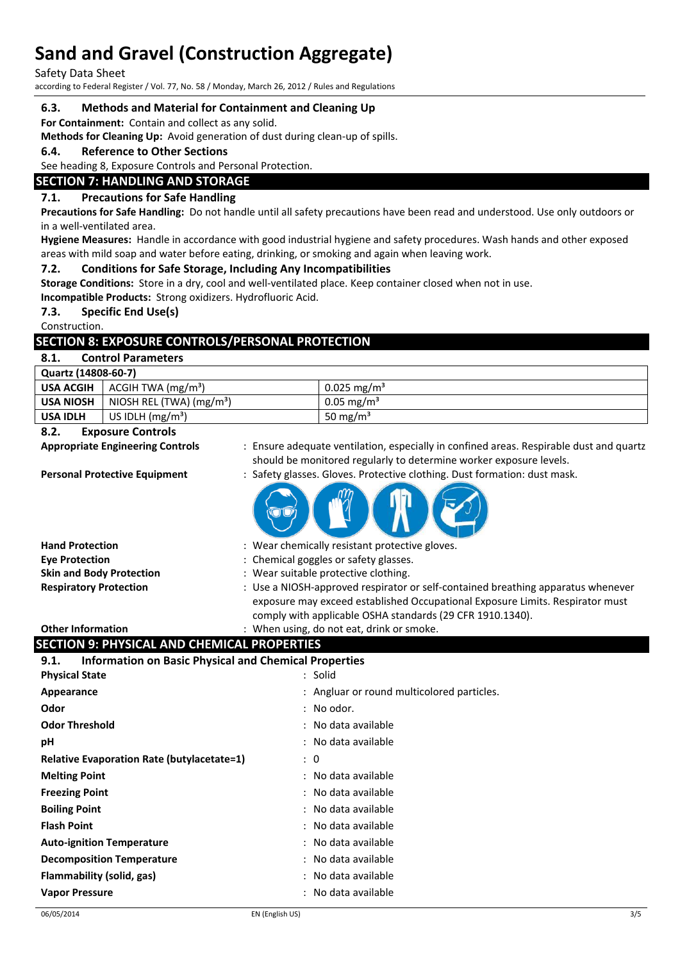Safety Data Sheet

according to Federal Register / Vol. 77, No. 58 / Monday, March 26, 2012 / Rules and Regulations

#### **6.3. Methods and Material for Containment and Cleaning Up**

**For Containment:** Contain and collect as any solid.

**Methods for Cleaning Up:** Avoid generation of dust during clean-up of spills.

#### **6.4. Reference to Other Sections**

See heading 8, Exposure Controls and Personal Protection.

## **SECTION 7: HANDLING AND STORAGE**

#### **7.1. Precautions for Safe Handling**

**Precautions for Safe Handling:** Do not handle until all safety precautions have been read and understood. Use only outdoors or in a well-ventilated area.

**Hygiene Measures:** Handle in accordance with good industrial hygiene and safety procedures. Wash hands and other exposed areas with mild soap and water before eating, drinking, or smoking and again when leaving work.

#### **7.2. Conditions for Safe Storage, Including Any Incompatibilities**

**Storage Conditions:** Store in a dry, cool and well-ventilated place. Keep container closed when not in use.

**Incompatible Products:** Strong oxidizers. Hydrofluoric Acid.

## **7.3. Specific End Use(s)**

Construction.

# **SECTION 8: EXPOSURE CONTROLS/PERSONAL PROTECTION**

**8.1. Control Parameters**

| Quartz (14808-60-7) |                                        |                        |
|---------------------|----------------------------------------|------------------------|
|                     | <b>USA ACGIH</b>   ACGIH TWA $(mg/m3)$ | $0.025 \text{ mg/m}^3$ |
| <b>USA NIOSH</b>    | NIOSH REL (TWA) $(mg/m3)$              | $0.05 \text{ mg/m}^3$  |
| <b>USA IDLH</b>     | $\mid$ US IDLH (mg/m <sup>3</sup> )    | 50 mg/m <sup>3</sup>   |

#### **8.2. Exposure Controls**

- **Appropriate Engineering Controls** : Ensure adequate ventilation, especially in confined areas. Respirable dust and quartz should be monitored regularly to determine worker exposure levels.
- **Personal Protective Equipment** : Safety glasses. Gloves. Protective clothing. Dust formation: dust mask.

**TANK** 

| <b>Hand Protection</b>          | : Wear chemically resistant protective gloves.                                                                                                                                                                                 |  |
|---------------------------------|--------------------------------------------------------------------------------------------------------------------------------------------------------------------------------------------------------------------------------|--|
| <b>Eye Protection</b>           | : Chemical goggles or safety glasses.                                                                                                                                                                                          |  |
| <b>Skin and Body Protection</b> | : Wear suitable protective clothing.                                                                                                                                                                                           |  |
| <b>Respiratory Protection</b>   | : Use a NIOSH-approved respirator or self-contained breathing apparatus whenever<br>exposure may exceed established Occupational Exposure Limits. Respirator must<br>comply with applicable OSHA standards (29 CFR 1910.1340). |  |
| <b>Other Information</b>        | : When using, do not eat, drink or smoke.                                                                                                                                                                                      |  |

 $nm$ 

# **SECTION 9: PHYSICAL AND CHEMICAL PROPERTIES**

| <b>Information on Basic Physical and Chemical Properties</b><br>9.1. |                                            |
|----------------------------------------------------------------------|--------------------------------------------|
| <b>Physical State</b>                                                | : Solid                                    |
| Appearance                                                           | : Angluar or round multicolored particles. |
| Odor                                                                 | $:$ No odor.                               |
| <b>Odor Threshold</b>                                                | : No data available                        |
| рH                                                                   | : No data available                        |
| <b>Relative Evaporation Rate (butylacetate=1)</b>                    | $\colon 0$                                 |
| <b>Melting Point</b>                                                 | : No data available                        |
| <b>Freezing Point</b>                                                | : No data available                        |
| <b>Boiling Point</b>                                                 | : No data available                        |
| <b>Flash Point</b>                                                   | : No data available                        |
| <b>Auto-ignition Temperature</b>                                     | : No data available                        |
| <b>Decomposition Temperature</b>                                     | : No data available                        |
| Flammability (solid, gas)                                            | : No data available                        |
| <b>Vapor Pressure</b>                                                | : No data available                        |
|                                                                      |                                            |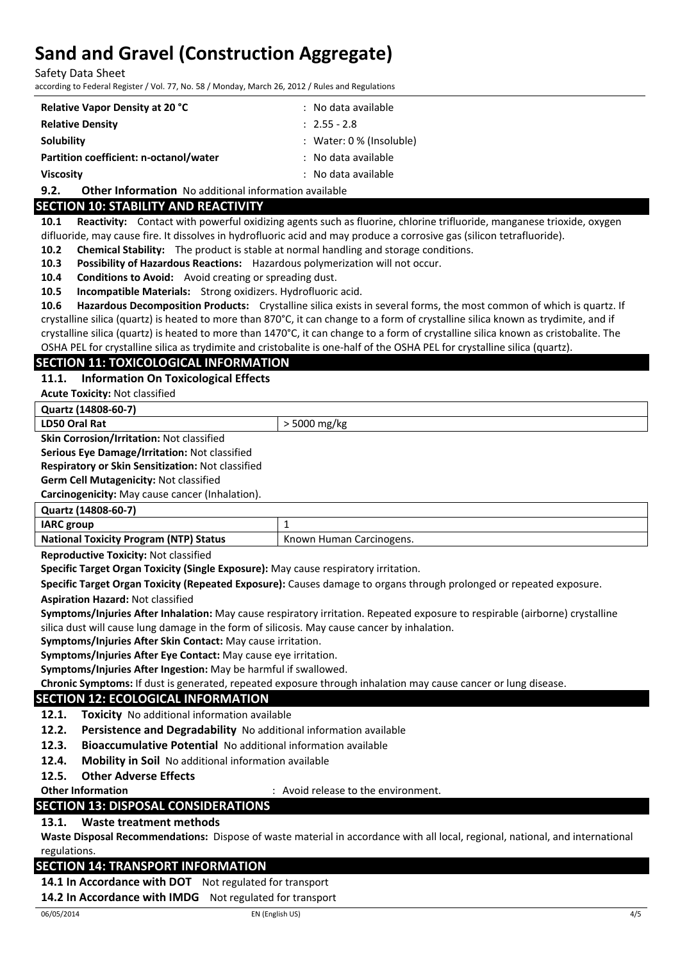Safety Data Sheet

according to Federal Register / Vol. 77, No. 58 / Monday, March 26, 2012 / Rules and Regulations

| <b>Relative Vapor Density at 20 °C</b> | : No data available                 |
|----------------------------------------|-------------------------------------|
| <b>Relative Density</b>                | $: 2.55 - 2.8$                      |
| Solubility                             | $\therefore$ Water: 0 % (Insoluble) |
| Partition coefficient: n-octanol/water | : No data available                 |
| <b>Viscosity</b>                       | : No data available                 |

**9.2. Other Information** No additional information available

# **SECTION 10: STABILITY AND REACTIVITY**

**10.1 Reactivity:** Contact with powerful oxidizing agents such as fluorine, chlorine trifluoride, manganese trioxide, oxygen

difluoride, may cause fire. It dissolves in hydrofluoric acid and may produce a corrosive gas (silicon tetrafluoride).

**10.2 Chemical Stability:** The product is stable at normal handling and storage conditions.

**10.3 Possibility of Hazardous Reactions:** Hazardous polymerization will not occur.

**10.4 Conditions to Avoid:** Avoid creating or spreading dust.

**10.5 Incompatible Materials:** Strong oxidizers. Hydrofluoric acid.

**10.6 Hazardous Decomposition Products:** Crystalline silica exists in several forms, the most common of which is quartz. If crystalline silica (quartz) is heated to more than 870°C, it can change to a form of crystalline silica known as trydimite, and if crystalline silica (quartz) is heated to more than 1470°C, it can change to a form of crystalline silica known as cristobalite. The OSHA PEL for crystalline silica as trydimite and cristobalite is one-half of the OSHA PEL for crystalline silica (quartz).

# **SECTION 11: TOXICOLOGICAL INFORMATION**

**11.1. Information On Toxicological Effects**

**Acute Toxicity:** Not classified

**Quartz (14808-60-7)**

**LD50 Oral Rat** > 5000 mg/kg

**Skin Corrosion/Irritation:** Not classified

**Serious Eye Damage/Irritation:** Not classified

**Respiratory or Skin Sensitization:** Not classified

**Germ Cell Mutagenicity:** Not classified

**Carcinogenicity:** May cause cancer (Inhalation).

| Quartz (14808-60-7)                           |                          |  |
|-----------------------------------------------|--------------------------|--|
| <b>IARC</b> group                             |                          |  |
| <b>National Toxicity Program (NTP) Status</b> | Known Human Carcinogens. |  |

**Reproductive Toxicity:** Not classified

**Specific Target Organ Toxicity (Single Exposure):** May cause respiratory irritation.

**Specific Target Organ Toxicity (Repeated Exposure):** Causes damage to organs through prolonged or repeated exposure.

**Aspiration Hazard:** Not classified

**Symptoms/Injuries After Inhalation:** May cause respiratory irritation. Repeated exposure to respirable (airborne) crystalline silica dust will cause lung damage in the form of silicosis. May cause cancer by inhalation.

**Symptoms/Injuries After Skin Contact:** May cause irritation.

**Symptoms/Injuries After Eye Contact:** May cause eye irritation.

**Symptoms/Injuries After Ingestion:** May be harmful if swallowed.

**Chronic Symptoms:** If dust is generated, repeated exposure through inhalation may cause cancer or lung disease.

## **SECTION 12: ECOLOGICAL INFORMATION**

- **12.1. Toxicity** No additional information available
- **12.2. Persistence and Degradability** No additional information available
- **12.3. Bioaccumulative Potential** No additional information available
- **12.4. Mobility in Soil** No additional information available
- **12.5. Other Adverse Effects**

**Other Information** : Avoid release to the environment.

# **SECTION 13: DISPOSAL CONSIDERATIONS**

## **13.1. Waste treatment methods**

**Waste Disposal Recommendations:** Dispose of waste material in accordance with all local, regional, national, and international regulations.

# **SECTION 14: TRANSPORT INFORMATION**

**14.1 In Accordance with DOT** Not regulated for transport

**14.2 In Accordance with IMDG** Not regulated for transport